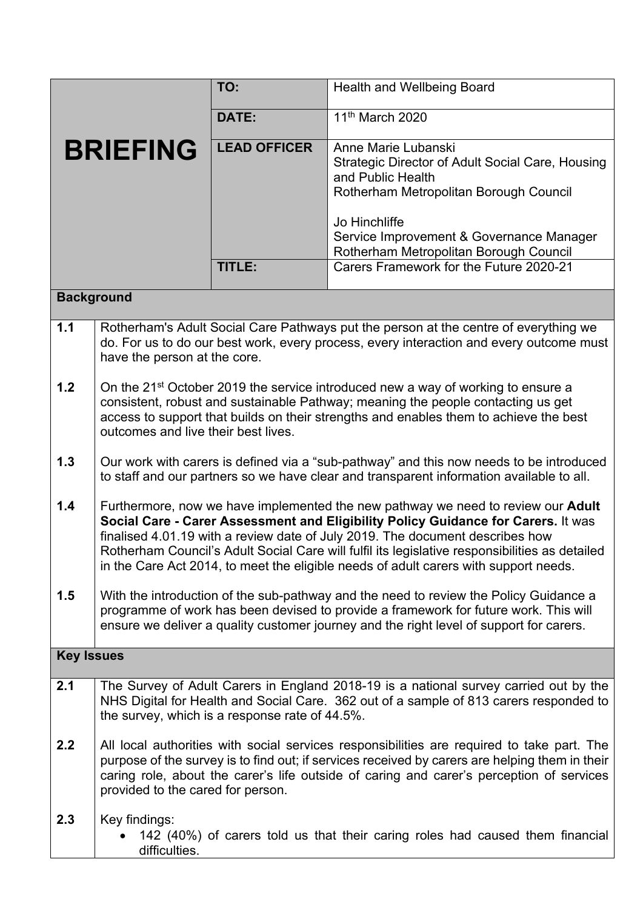|                   |                                                                                                                                                                                                                                                                                                                                                                                                                                                  | TO:                 | <b>Health and Wellbeing Board</b>                                                                                                                                                                                                             |  |  |
|-------------------|--------------------------------------------------------------------------------------------------------------------------------------------------------------------------------------------------------------------------------------------------------------------------------------------------------------------------------------------------------------------------------------------------------------------------------------------------|---------------------|-----------------------------------------------------------------------------------------------------------------------------------------------------------------------------------------------------------------------------------------------|--|--|
|                   |                                                                                                                                                                                                                                                                                                                                                                                                                                                  | DATE:               | 11 <sup>th</sup> March 2020                                                                                                                                                                                                                   |  |  |
| <b>BRIEFING</b>   |                                                                                                                                                                                                                                                                                                                                                                                                                                                  | <b>LEAD OFFICER</b> | Anne Marie Lubanski<br>Strategic Director of Adult Social Care, Housing<br>and Public Health<br>Rotherham Metropolitan Borough Council<br>Jo Hinchliffe<br>Service Improvement & Governance Manager<br>Rotherham Metropolitan Borough Council |  |  |
|                   |                                                                                                                                                                                                                                                                                                                                                                                                                                                  | TITLE:              | Carers Framework for the Future 2020-21                                                                                                                                                                                                       |  |  |
| <b>Background</b> |                                                                                                                                                                                                                                                                                                                                                                                                                                                  |                     |                                                                                                                                                                                                                                               |  |  |
| 1.1               | Rotherham's Adult Social Care Pathways put the person at the centre of everything we<br>do. For us to do our best work, every process, every interaction and every outcome must<br>have the person at the core.                                                                                                                                                                                                                                  |                     |                                                                                                                                                                                                                                               |  |  |
| 1.2               | On the 21 <sup>st</sup> October 2019 the service introduced new a way of working to ensure a<br>consistent, robust and sustainable Pathway; meaning the people contacting us get<br>access to support that builds on their strengths and enables them to achieve the best<br>outcomes and live their best lives.                                                                                                                                 |                     |                                                                                                                                                                                                                                               |  |  |
| 1.3               | Our work with carers is defined via a "sub-pathway" and this now needs to be introduced<br>to staff and our partners so we have clear and transparent information available to all.                                                                                                                                                                                                                                                              |                     |                                                                                                                                                                                                                                               |  |  |
| 1.4               | Furthermore, now we have implemented the new pathway we need to review our Adult<br>Social Care - Carer Assessment and Eligibility Policy Guidance for Carers. It was<br>finalised 4.01.19 with a review date of July 2019. The document describes how<br>Rotherham Council's Adult Social Care will fulfil its legislative responsibilities as detailed<br>in the Care Act 2014, to meet the eligible needs of adult carers with support needs. |                     |                                                                                                                                                                                                                                               |  |  |
| 1.5               | With the introduction of the sub-pathway and the need to review the Policy Guidance a<br>programme of work has been devised to provide a framework for future work. This will<br>ensure we deliver a quality customer journey and the right level of support for carers.                                                                                                                                                                         |                     |                                                                                                                                                                                                                                               |  |  |
| <b>Key Issues</b> |                                                                                                                                                                                                                                                                                                                                                                                                                                                  |                     |                                                                                                                                                                                                                                               |  |  |
| 2.1               | The Survey of Adult Carers in England 2018-19 is a national survey carried out by the<br>NHS Digital for Health and Social Care. 362 out of a sample of 813 carers responded to<br>the survey, which is a response rate of 44.5%.                                                                                                                                                                                                                |                     |                                                                                                                                                                                                                                               |  |  |
| 2.2               | All local authorities with social services responsibilities are required to take part. The<br>purpose of the survey is to find out; if services received by carers are helping them in their<br>caring role, about the carer's life outside of caring and carer's perception of services<br>provided to the cared for person.                                                                                                                    |                     |                                                                                                                                                                                                                                               |  |  |
| 2.3               | Key findings:<br>difficulties.                                                                                                                                                                                                                                                                                                                                                                                                                   |                     | 142 (40%) of carers told us that their caring roles had caused them financial                                                                                                                                                                 |  |  |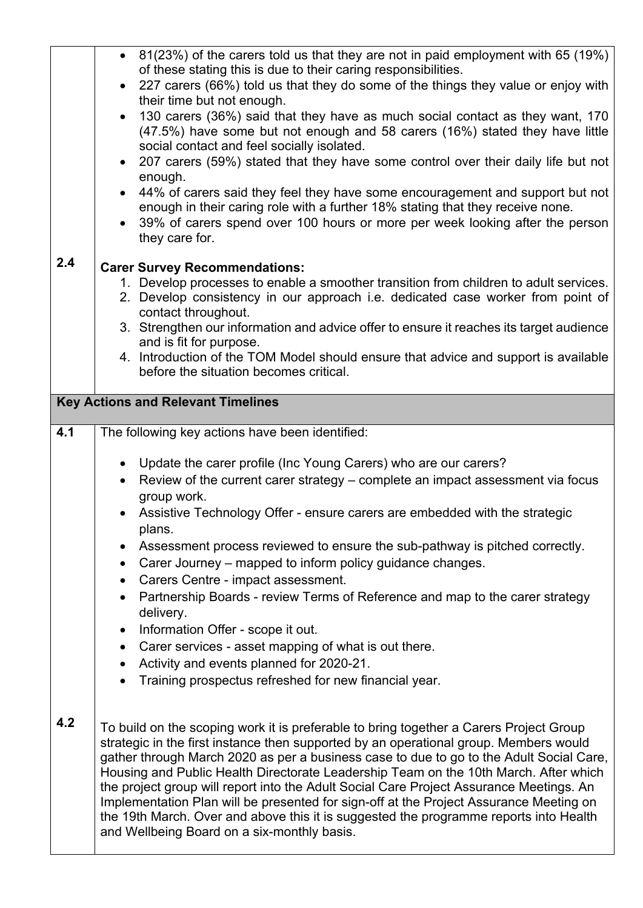|                                           | • $81(23%)$ of the carers told us that they are not in paid employment with 65 (19%)<br>of these stating this is due to their caring responsibilities.                                                                   |  |  |  |
|-------------------------------------------|--------------------------------------------------------------------------------------------------------------------------------------------------------------------------------------------------------------------------|--|--|--|
|                                           | 227 carers (66%) told us that they do some of the things they value or enjoy with                                                                                                                                        |  |  |  |
|                                           | their time but not enough.                                                                                                                                                                                               |  |  |  |
|                                           | 130 carers (36%) said that they have as much social contact as they want, 170<br>$\bullet$<br>(47.5%) have some but not enough and 58 carers (16%) stated they have little<br>social contact and feel socially isolated. |  |  |  |
|                                           | 207 carers (59%) stated that they have some control over their daily life but not<br>$\bullet$                                                                                                                           |  |  |  |
|                                           | enough.<br>44% of carers said they feel they have some encouragement and support but not                                                                                                                                 |  |  |  |
|                                           | enough in their caring role with a further 18% stating that they receive none.<br>39% of carers spend over 100 hours or more per week looking after the person<br>they care for.                                         |  |  |  |
| 2.4                                       | <b>Carer Survey Recommendations:</b>                                                                                                                                                                                     |  |  |  |
|                                           | 1. Develop processes to enable a smoother transition from children to adult services.                                                                                                                                    |  |  |  |
|                                           | 2. Develop consistency in our approach i.e. dedicated case worker from point of<br>contact throughout.                                                                                                                   |  |  |  |
|                                           | 3. Strengthen our information and advice offer to ensure it reaches its target audience<br>and is fit for purpose.                                                                                                       |  |  |  |
|                                           | 4. Introduction of the TOM Model should ensure that advice and support is available                                                                                                                                      |  |  |  |
|                                           | before the situation becomes critical.                                                                                                                                                                                   |  |  |  |
| <b>Key Actions and Relevant Timelines</b> |                                                                                                                                                                                                                          |  |  |  |
| 4.1                                       | The following key actions have been identified:                                                                                                                                                                          |  |  |  |
|                                           |                                                                                                                                                                                                                          |  |  |  |
|                                           | Update the carer profile (Inc Young Carers) who are our carers?<br>Review of the current carer strategy – complete an impact assessment via focus                                                                        |  |  |  |
|                                           | group work.                                                                                                                                                                                                              |  |  |  |
|                                           | Assistive Technology Offer - ensure carers are embedded with the strategic<br>plans.                                                                                                                                     |  |  |  |
|                                           | Assessment process reviewed to ensure the sub-pathway is pitched correctly.                                                                                                                                              |  |  |  |
|                                           | Carer Journey – mapped to inform policy guidance changes.<br>$\bullet$                                                                                                                                                   |  |  |  |
|                                           | Carers Centre - impact assessment.<br>Partnership Boards - review Terms of Reference and map to the carer strategy                                                                                                       |  |  |  |
|                                           | delivery.                                                                                                                                                                                                                |  |  |  |
|                                           | Information Offer - scope it out.                                                                                                                                                                                        |  |  |  |
|                                           |                                                                                                                                                                                                                          |  |  |  |
|                                           | Carer services - asset mapping of what is out there.<br>$\bullet$                                                                                                                                                        |  |  |  |
|                                           | Activity and events planned for 2020-21.                                                                                                                                                                                 |  |  |  |
|                                           | Training prospectus refreshed for new financial year.                                                                                                                                                                    |  |  |  |
| 4.2                                       |                                                                                                                                                                                                                          |  |  |  |
|                                           | To build on the scoping work it is preferable to bring together a Carers Project Group<br>strategic in the first instance then supported by an operational group. Members would                                          |  |  |  |
|                                           | gather through March 2020 as per a business case to due to go to the Adult Social Care,                                                                                                                                  |  |  |  |
|                                           | Housing and Public Health Directorate Leadership Team on the 10th March. After which                                                                                                                                     |  |  |  |
|                                           | the project group will report into the Adult Social Care Project Assurance Meetings. An<br>Implementation Plan will be presented for sign-off at the Project Assurance Meeting on                                        |  |  |  |
|                                           | the 19th March. Over and above this it is suggested the programme reports into Health                                                                                                                                    |  |  |  |
|                                           | and Wellbeing Board on a six-monthly basis.                                                                                                                                                                              |  |  |  |